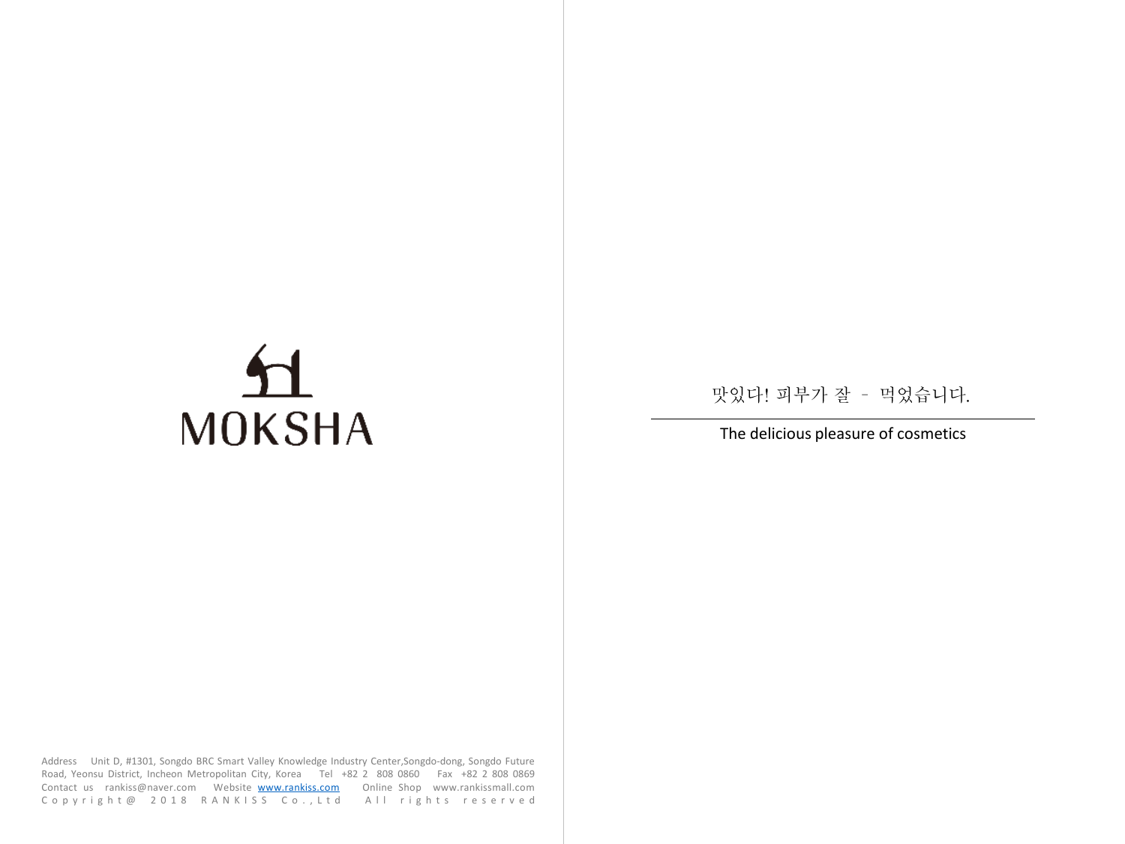# **MOKSHA**

맛있다! 피부가 잘 - 먹었습니다.

# The delicious pleasure of cosmetics

Address Unit D, #1301, Songdo BRC Smart Valley Knowledge Industry Center,Songdo-dong, Songdo Future Road, Yeonsu District, Incheon Metropolitan City, Korea Tel +82 2 808 0860 Fax +82 2 808 0869 Contact us rankiss@naver.com Website [www.rankiss.com](http://www.rankiss.com/) Online Shop www.rankissmall.com C o p y r i g h t @ 2018 R A N K I S S C o . , L t d All rights reserved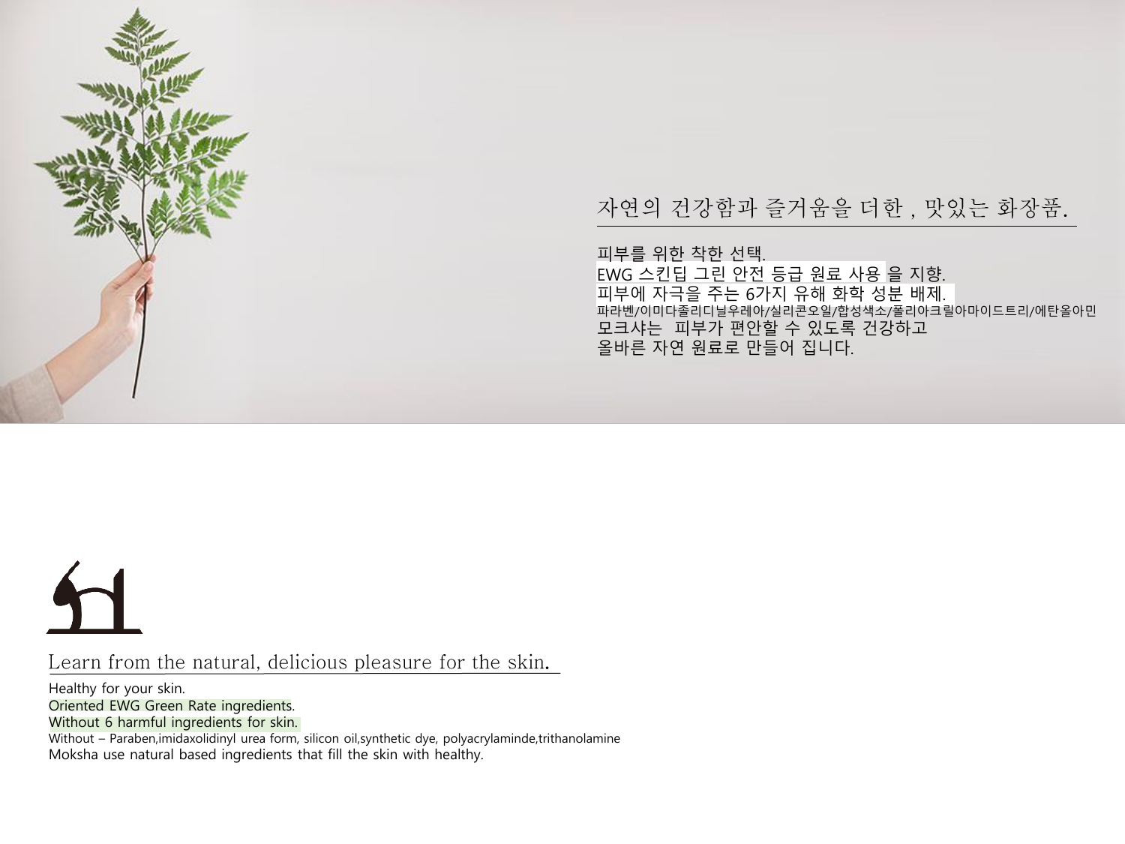

Learn from the natural, delicious pleasure for the skin.

Healthy for your skin. Oriented EWG Green Rate ingredients. Without 6 harmful ingredients for skin. Without – Paraben, imidaxolidinyl urea form, silicon oil, synthetic dye, polyacrylaminde, trithanolamine Moksha use natural based ingredients that fill the skin with healthy.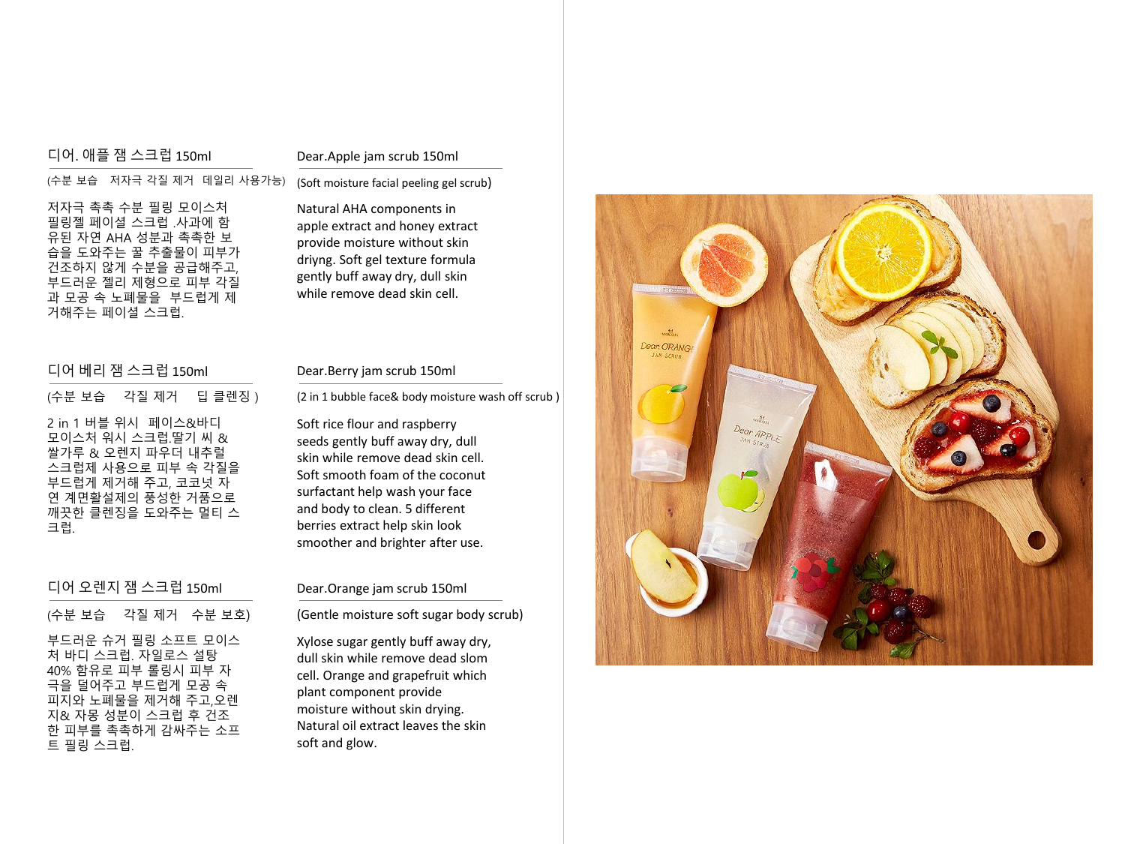# 디어. 애플 잼 스크럽 150ml

# Dear.Apple jam scrub 150ml

(수분 보습 저자극 각질 제거 데일리 사용가능) 저자극 촉촉 수분 필링 모이스처 필링젤 페이셜 스크럽 .사과에 함 유된 자연 AHA 성분과 촉촉한 보 습을 도와주는 꿀 추출물이 피부가 건조하지 않게 수분을 공급해주고, 부드러운 젤리 제형으로 피부 각질 과 모공 속 노폐물을 부드럽게 제 거해주는 페이셜 스크럽.

# 디어 베리 잼 스크럽 150ml

# (수분 보습 각질 제거 딥 클렌징 )

2 in 1 버블 위시 페이스&바디 모이스처 워시 스크럽.딸기 씨 & 쌀가루 & 오렌지 파우더 내추럴 스크럽제 사용으로 피부 속 각질을 부드럽게 제거해 주고, 코코넛 자 연 계면활설제의 풍성한 거품으로 깨끗한 클렌징을 도와주는 멀티 스 크럽.

# 디어 오렌지 잼 스크럽 150ml

(수분 보습 각질 제거 수분 보호)

부드러운 슈거 필링 소프트 모이스 처 바디 스크럽. 자일로스 설탕 40% 함유로 피부 롤링시 피부 자 극을 덜어주고 부드럽게 모공 속 피지와 노폐물을 제거해 주고,오렌 지& 자몽 성분이 스크럽 후 건조 한 피부를 촉촉하게 감싸주는 소프 트 필링 스크럽.

# Natural AHA components in apple extract and honey extract provide moisture without skin

(Soft moisture facial peeling gel scrub)

driyng. Soft gel texture formula gently buff away dry, dull skin while remove dead skin cell.

# Dear.Berry jam scrub 150ml

(2 in 1 bubble face& body moisture wash off scrub )

Soft rice flour and raspberry seeds gently buff away dry, dull skin while remove dead skin cell. Soft smooth foam of the coconut surfactant help wash your face and body to clean. 5 different berries extract help skin look smoother and brighter after use.

# Dear.Orange jam scrub 150ml

(Gentle moisture soft sugar body scrub)

Xylose sugar gently buff away dry, dull skin while remove dead slom cell. Orange and grapefruit which plant component provide moisture without skin drying. Natural oil extract leaves the skin soft and glow.

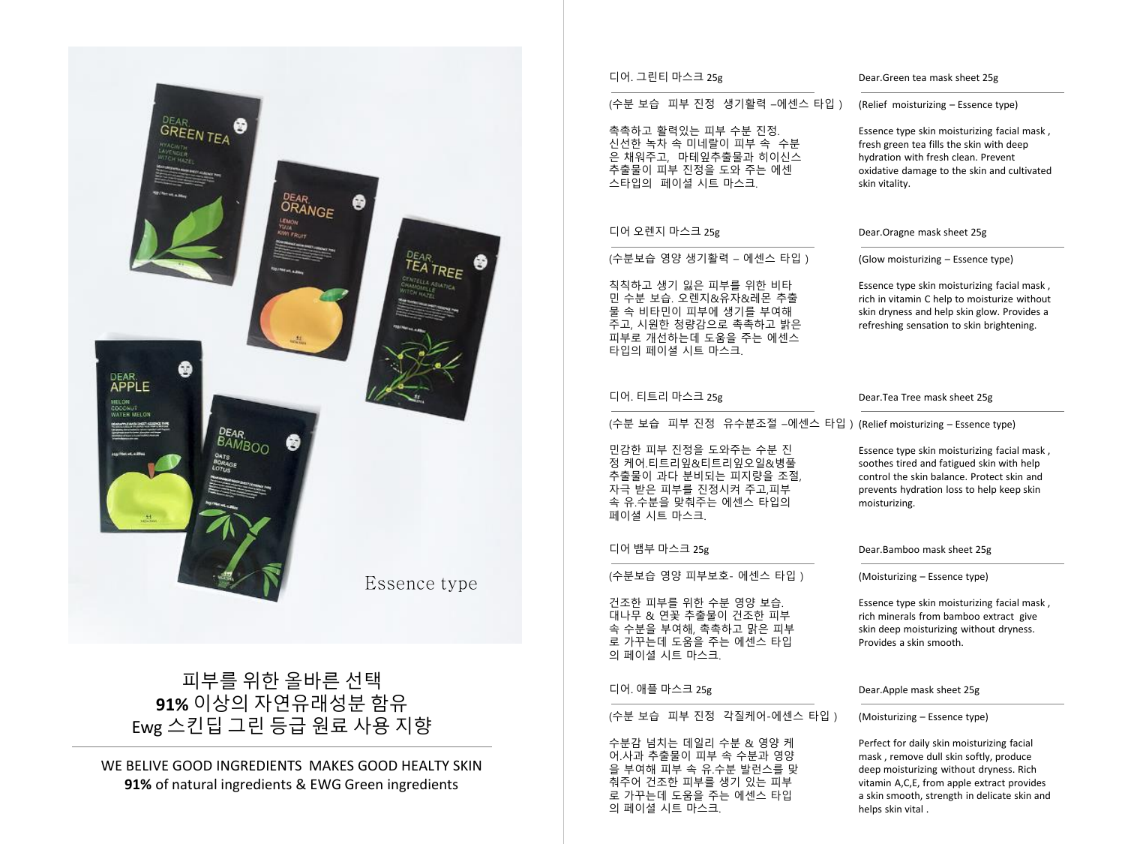

**91%** of natural ingredients & EWG Green ingredients

# 디어. 그린티 마스크 25g

# (수분 보습 피부 진정 생기활력 –에센스 타입 )

촉촉하고 활력있는 피부 수분 진정. 신선한 녹차 속 미네랄이 피부 속 수분 은 채워주고, 마테잎추출물과 히이신스 추출물이 피부 진정을 도와 주는 에센 스타입의 페이셜 시트 마스크.

# 디어 오렌지 마스크 25g

디어. 티트리 마스크 25g

페이셜 시트 마스크.

디어 뱀부 마스크 25g

의 페이셜 시트 마스크.

디어. 애플 마스크 25g

의 페이셜 시트 마스크.

(수분보습 영양 생기활력 – 에센스 타입 )

칙칙하고 생기 잃은 피부를 위한 비타 민 수분 보습. 오렌지&유자&레몬 추출 물 속 비타민이 피부에 생기를 부여해 주고, 시원한 청량감으로 촉촉하고 밝은 피부로 개선하는데 도움을 주는 에센스 타입의 페이셜 시트 마스크.

민감한 피부 진정을 도와주는 수분 진 정 케어.티트리잎&티트리잎오일&병풀 추출물이 과다 분비되는 피지량을 조절, 자극 받은 피부를 진정시켜 주고,피부 속 유.수분을 맞춰주는 에센스 타입의

(수분보습 영양 피부보호- 에센스 타입 ) 건조한 피부를 위한 수분 영양 보습. 대나무 & 연꽃 추출물이 건조한 피부 속 수분을 부여해, 촉촉하고 맑은 피부 로 가꾸는데 도움을 주는 에센스 타입

(수분 보습 피부 진정 각질케어-에센스 타입 )

수분감 넘치는 데일리 수분 & 영양 케 어.사과 추출물이 피부 속 수분과 영양 을 부여해 피부 속 유.수분 발런스를 맞 춰주어 건조한 피부를 생기 있는 피부 로 가꾸는데 도움을 주는 에센스 타입

# Dear.Tea Tree mask sheet 25g

# (수분 보습 피부 진정 유수분조절 –에센스 타입 ) (Relief moisturizing – Essence type)

Essence type skin moisturizing facial mask , soothes tired and fatigued skin with help control the skin balance. Protect skin and prevents hydration loss to help keep skin moisturizing.

# Dear.Bamboo mask sheet 25g

(Moisturizing – Essence type)

Essence type skin moisturizing facial mask , rich minerals from bamboo extract give skin deep moisturizing without dryness. Provides a skin smooth.

# Dear.Apple mask sheet 25g

# (Moisturizing – Essence type)

Perfect for daily skin moisturizing facial mask , remove dull skin softly, produce deep moisturizing without dryness. Rich vitamin A,C,E, from apple extract provides a skin smooth, strength in delicate skin and helps skin vital .

# Dear.Green tea mask sheet 25g

(Relief moisturizing – Essence type)

Essence type skin moisturizing facial mask , fresh green tea fills the skin with deep hydration with fresh clean. Prevent oxidative damage to the skin and cultivated skin vitality.

# Dear.Oragne mask sheet 25g

(Glow moisturizing – Essence type)

Essence type skin moisturizing facial mask , rich in vitamin C help to moisturize without skin dryness and help skin glow. Provides a refreshing sensation to skin brightening.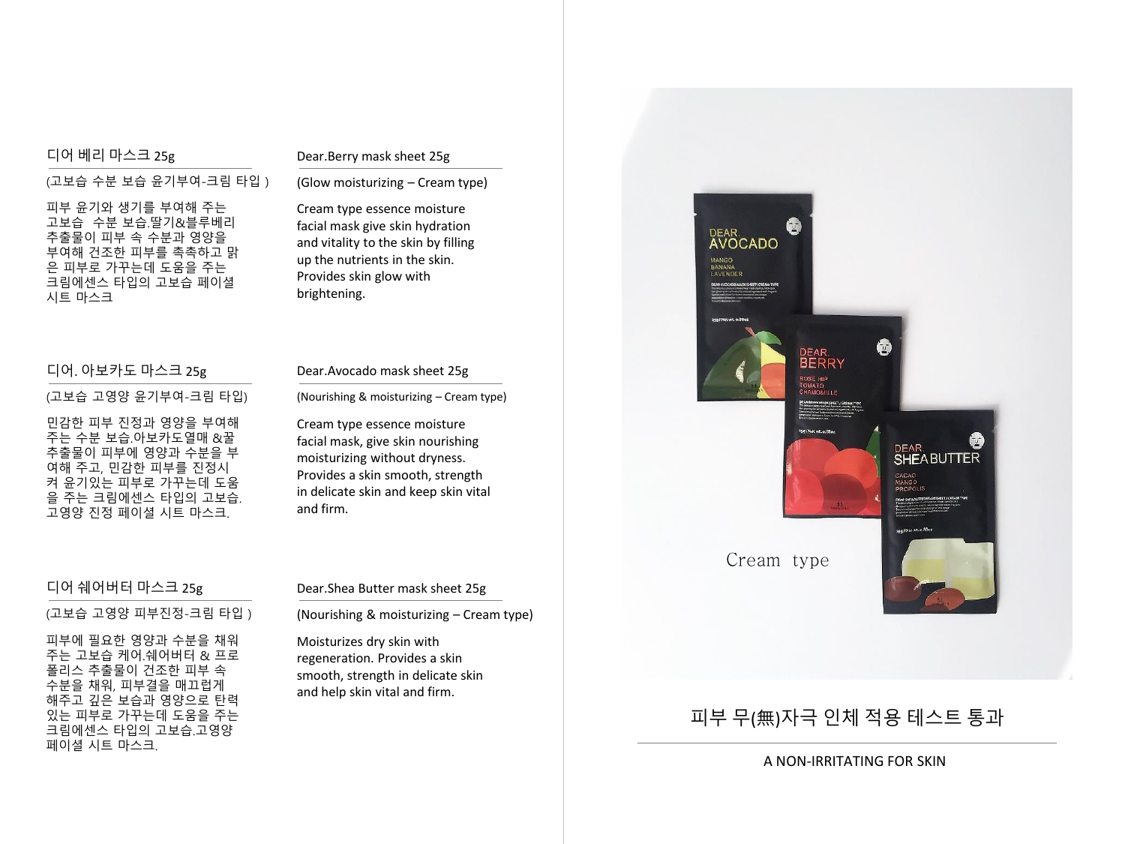# 디어 베리 마스크 25g

# Dear.Berry mask sheet 25g

(고보습 수분 보습 윤기부여-크림 타입 )

피부 윤기와 생기를 부여해 주는 고보습 수분 보습.딸기&블루베리 추출물이 피부 속 수분과 영양을 부여해 건조한 피부를 촉촉하고 맑 은 피부로 가꾸는데 도움을 주는 크림에센스 타입의 고보습 페이셜 시트 마스크

# 디어. 아보카도 마스크 25g

# Dear.Avocado mask sheet 25g

Cream type essence moisture facial mask, give skin nourishing moisturizing without dryness. Provides a skin smooth, strength in delicate skin and keep skin vital

and firm.

(Nourishing & moisturizing – Cream type)

(고보습 고영양 윤기부여-크림 타입)

민감한 피부 진정과 영양을 부여해 주는 수분 보습.아보카도열매 &꿀 추출물이 피부에 영양과 수분을 부 여해 주고, 민감한 피부를 진정시 켜 윤기있는 피부로 가꾸는데 도움 을 주는 크림에센스 타입의 고보습. 고영양 진정 페이셜 시트 마스크.

# 디어 쉐어버터 마스크 25g

(고보습 고영양 피부진정-크림 타입 )

피부에 필요한 영양과 수분을 채워 주는 고보습 케어.쉐어버터 & 프로 폴리스 추출물이 건조한 피부 속 수분을 채워, 피부결을 매끄럽게 해주고 깊은 보습과 영양으로 탄력 있는 피부로 가꾸는데 도움을 주는 크림에센스 타입의 고보습.고영양 페이셜 시트 마스크.

# Dear.Shea Butter mask sheet 25g

(Nourishing & moisturizing – Cream type)

Moisturizes dry skin with regeneration. Provides a skin smooth, strength in delicate skin and help skin vital and firm.



Cream type

 $\mathfrak{c}$ 

DEAR.<br>AVOCADO

MANGO<br>BANANA<br>LAVENDER

# 피부 무(無)자극 인체 적용 테스트 통과

A NON-IRRITATING FOR SKIN

G

DEAR.<br>SHEABUTTER

# facial mask give skin hydration and vitality to the skin by filling

(Glow moisturizing – Cream type) Cream type essence moisture

up the nutrients in the skin. Provides skin glow with brightening.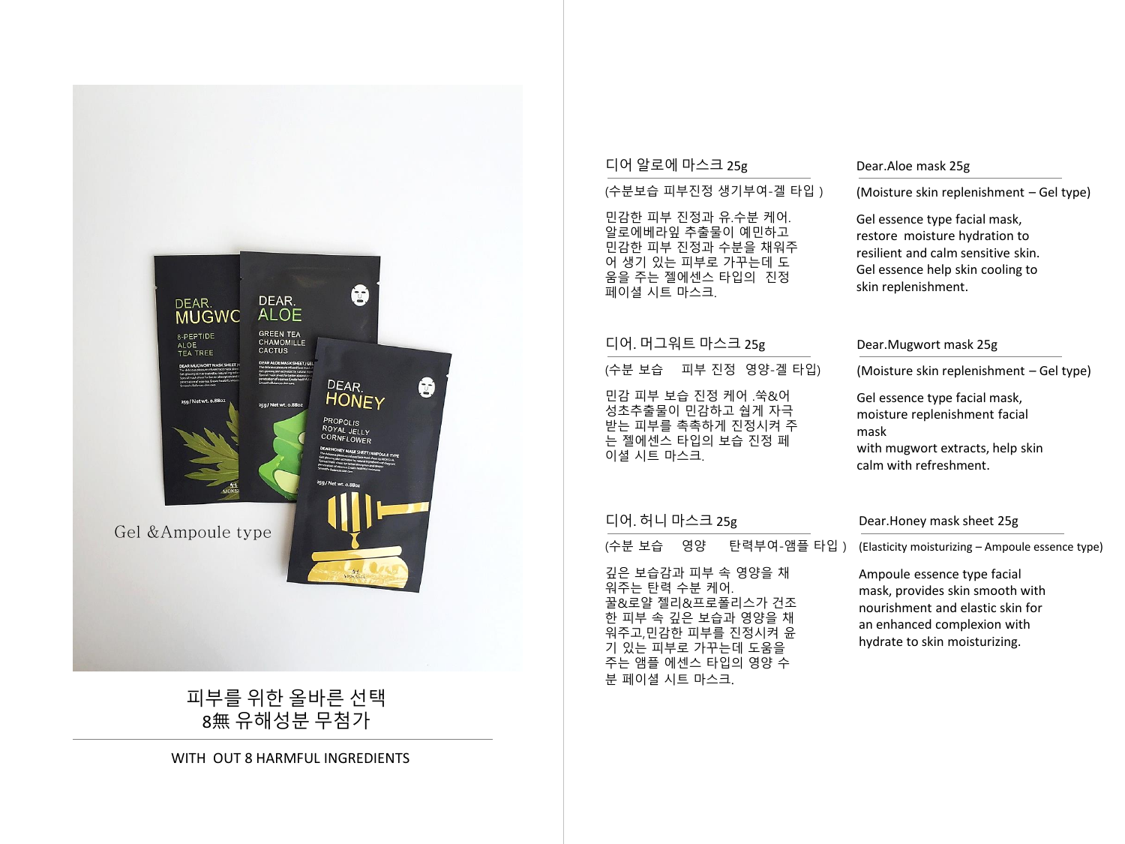# $\mathbb{C}$ DEAR. DEAR.<br>MUGWC **ALOE** GREEN TEA<br>CHAMOMILLE<br>CACTUS 8-PEPTIDE ALOE<br>TEA TREE DEAR. ₿ **HONEY** co./ Net wt. o. 88d PROPOLIS<br>ROYAL JELLY CORNFLOWER Gel & Ampoule type

피부를 위한 올바른 선택 8無 유해성분 무첨가

WITH OUT 8 HARMFUL INGREDIENTS

# 디어 알로에 마스크 25g

# (수분보습 피부진정 생기부여-겔 타입 )

민감한 피부 진정과 유.수분 케어. 알로에베라잎 추출물이 예민하고 민감한 피부 진정과 수분을 채워주 어 생기 있는 피부로 가꾸는데 도 움을 주는 젤에센스 타입의 진정 페이셜 시트 마스크.

# 디어. 머그워트 마스크 25g

(수분 보습 피부 진정 영양-겔 타입)

민감 피부 보습 진정 케어 .쑥&어 성초추출물이 민감하고 쉅게 자극 받는 피부를 촉촉하게 진정시켜 주 는 젤에센스 타입의 보습 진정 페 이셜 시트 마스크.

# Dear.Aloe mask 25g

(Moisture skin replenishment – Gel type)

Gel essence type facial mask, restore moisture hydration to resilient and calm sensitive skin. Gel essence help skin cooling to skin replenishment.

# Dear.Mugwort mask 25g

(Moisture skin replenishment – Gel type)

Gel essence type facial mask, moisture replenishment facial mask with mugwort extracts, help skin calm with refreshment.

# 디어. 허니 마스크 25g

(수분 보습 영양 탄력부여-앰플 타입 )

깊은 보습감과 피부 속 영양을 채 워주는 탄력 수분 케어. 꿀&로얄 젤리&프로폴리스가 건조 한 피부 속 깊은 보습과 영양을 채 워주고,민감한 피부를 진정시켜 윤 기 있는 피부로 가꾸는데 도움을 주는 앰플 에센스 타입의 영양 수 분 페이셜 시트 마스크.

# Dear.Honey mask sheet 25g

(Elasticity moisturizing – Ampoule essence type)

Ampoule essence type facial mask, provides skin smooth with nourishment and elastic skin for an enhanced complexion with hydrate to skin moisturizing.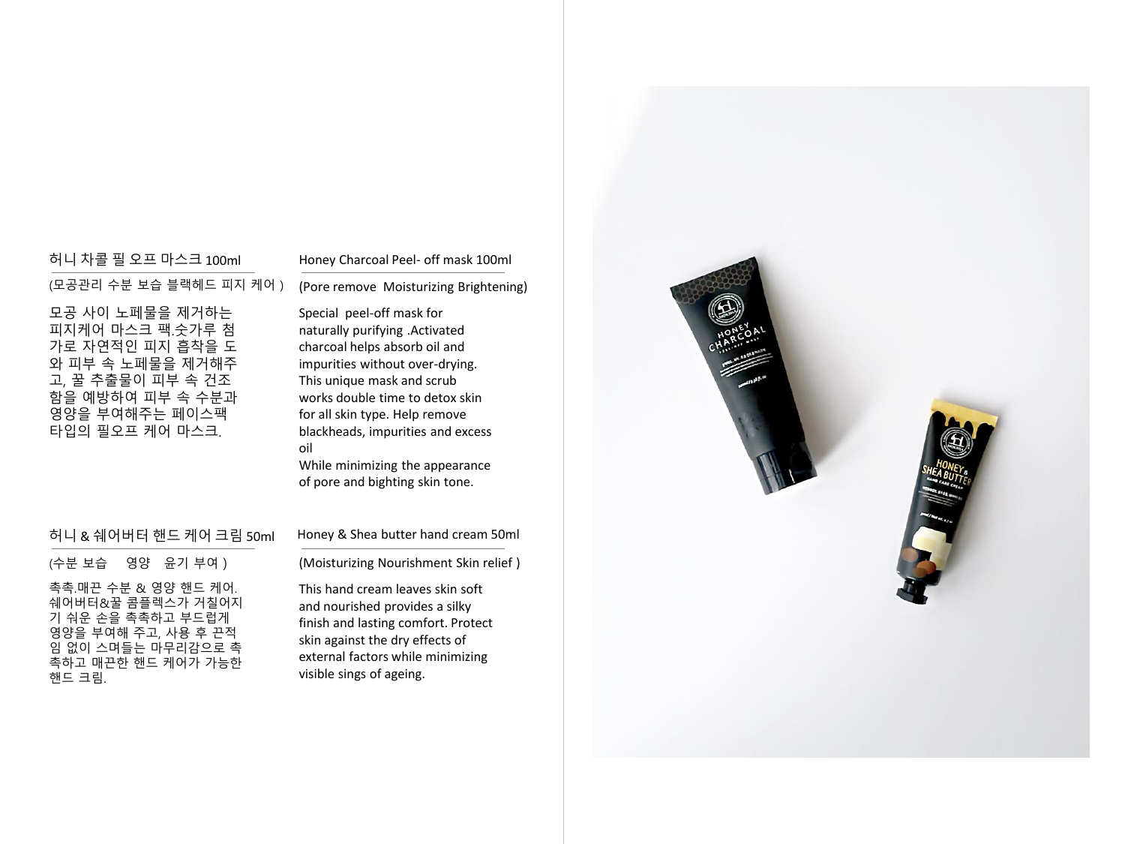# 허니 차콜 필 오프 마스크 100ml

(모공관리 수분 보습 블랙헤드 피지 케어 ) 모공 사이 노페물을 제거하는 피지케어 마스크 팩.숫가루 첨 가로 자연적인 피지 흡착을 도 와 피부 속 노페물을 제거해주 고, 꿀 추출물이 피부 속 건조 함을 예방하여 피부 속 수분과

영양을 부여해주는 페이스팩 타입의 필오프 케어 마스크.

# Honey Charcoal Peel- off mask 100ml

Special peel-off mask for naturally purifying .Activated charcoal helps absorb oil and impurities without over-drying. This unique mask and scrub works double time to detox skin for all skin type. Help remove blackheads, impurities and excess oil

While minimizing the appearance of pore and bighting skin tone.

# 허니 & 쉐어버터 핸드 케어 크림 50ml

Honey & Shea butter hand cream 50ml

(수분 보습 영양 윤기 부여 )

촉촉.매끈 수분 & 영양 핸드 케어. 쉐어버터&꿀 콤플렉스가 거칠어지 기 숴운 손을 촉촉하고 부드럽게 영양을 부여해 주고, 사용 후 끈적 임 없이 스며들는 마무리감으로 촉 촉하고 매끈한 핸드 케어가 가능한 핸드 크림.

(Moisturizing Nourishment Skin relief )

This hand cream leaves skin soft and nourished provides a silky finish and lasting comfort. Protect skin against the dry effects of external factors while minimizing visible sings of ageing.

# (Pore remove Moisturizing Brightening)